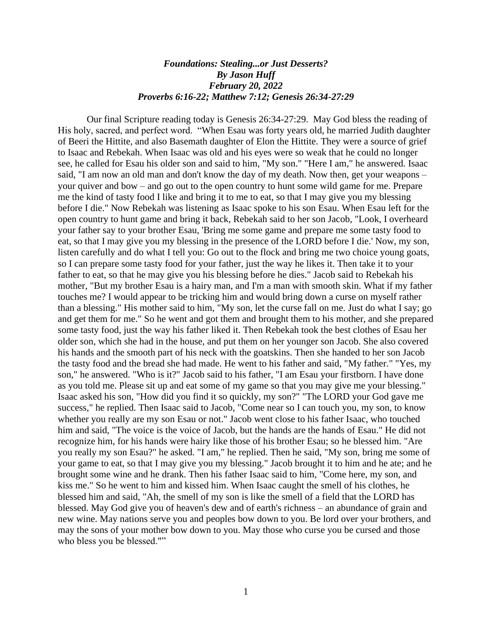## *Foundations: Stealing...or Just Desserts? By Jason Huff February 20, 2022 Proverbs 6:16-22; Matthew 7:12; Genesis 26:34-27:29*

Our final Scripture reading today is Genesis 26:34-27:29. May God bless the reading of His holy, sacred, and perfect word. "When Esau was forty years old, he married Judith daughter of Beeri the Hittite, and also Basemath daughter of Elon the Hittite. They were a source of grief to Isaac and Rebekah. When Isaac was old and his eyes were so weak that he could no longer see, he called for Esau his older son and said to him, "My son." "Here I am," he answered. Isaac said, "I am now an old man and don't know the day of my death. Now then, get your weapons – your quiver and bow – and go out to the open country to hunt some wild game for me. Prepare me the kind of tasty food I like and bring it to me to eat, so that I may give you my blessing before I die." Now Rebekah was listening as Isaac spoke to his son Esau. When Esau left for the open country to hunt game and bring it back, Rebekah said to her son Jacob, "Look, I overheard your father say to your brother Esau, 'Bring me some game and prepare me some tasty food to eat, so that I may give you my blessing in the presence of the LORD before I die.' Now, my son, listen carefully and do what I tell you: Go out to the flock and bring me two choice young goats, so I can prepare some tasty food for your father, just the way he likes it. Then take it to your father to eat, so that he may give you his blessing before he dies." Jacob said to Rebekah his mother, "But my brother Esau is a hairy man, and I'm a man with smooth skin. What if my father touches me? I would appear to be tricking him and would bring down a curse on myself rather than a blessing." His mother said to him, "My son, let the curse fall on me. Just do what I say; go and get them for me." So he went and got them and brought them to his mother, and she prepared some tasty food, just the way his father liked it. Then Rebekah took the best clothes of Esau her older son, which she had in the house, and put them on her younger son Jacob. She also covered his hands and the smooth part of his neck with the goatskins. Then she handed to her son Jacob the tasty food and the bread she had made. He went to his father and said, "My father." "Yes, my son," he answered. "Who is it?" Jacob said to his father, "I am Esau your firstborn. I have done as you told me. Please sit up and eat some of my game so that you may give me your blessing." Isaac asked his son, "How did you find it so quickly, my son?" "The LORD your God gave me success," he replied. Then Isaac said to Jacob, "Come near so I can touch you, my son, to know whether you really are my son Esau or not." Jacob went close to his father Isaac, who touched him and said, "The voice is the voice of Jacob, but the hands are the hands of Esau." He did not recognize him, for his hands were hairy like those of his brother Esau; so he blessed him. "Are you really my son Esau?" he asked. "I am," he replied. Then he said, "My son, bring me some of your game to eat, so that I may give you my blessing." Jacob brought it to him and he ate; and he brought some wine and he drank. Then his father Isaac said to him, "Come here, my son, and kiss me." So he went to him and kissed him. When Isaac caught the smell of his clothes, he blessed him and said, "Ah, the smell of my son is like the smell of a field that the LORD has blessed. May God give you of heaven's dew and of earth's richness – an abundance of grain and new wine. May nations serve you and peoples bow down to you. Be lord over your brothers, and may the sons of your mother bow down to you. May those who curse you be cursed and those who bless you be blessed.""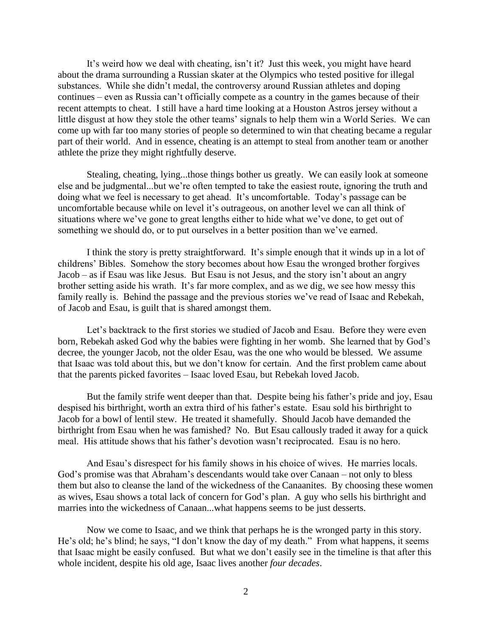It's weird how we deal with cheating, isn't it? Just this week, you might have heard about the drama surrounding a Russian skater at the Olympics who tested positive for illegal substances. While she didn't medal, the controversy around Russian athletes and doping continues – even as Russia can't officially compete as a country in the games because of their recent attempts to cheat. I still have a hard time looking at a Houston Astros jersey without a little disgust at how they stole the other teams' signals to help them win a World Series. We can come up with far too many stories of people so determined to win that cheating became a regular part of their world. And in essence, cheating is an attempt to steal from another team or another athlete the prize they might rightfully deserve.

Stealing, cheating, lying...those things bother us greatly. We can easily look at someone else and be judgmental...but we're often tempted to take the easiest route, ignoring the truth and doing what we feel is necessary to get ahead. It's uncomfortable. Today's passage can be uncomfortable because while on level it's outrageous, on another level we can all think of situations where we've gone to great lengths either to hide what we've done, to get out of something we should do, or to put ourselves in a better position than we've earned.

I think the story is pretty straightforward. It's simple enough that it winds up in a lot of childrens' Bibles. Somehow the story becomes about how Esau the wronged brother forgives Jacob – as if Esau was like Jesus. But Esau is not Jesus, and the story isn't about an angry brother setting aside his wrath. It's far more complex, and as we dig, we see how messy this family really is. Behind the passage and the previous stories we've read of Isaac and Rebekah, of Jacob and Esau, is guilt that is shared amongst them.

Let's backtrack to the first stories we studied of Jacob and Esau. Before they were even born, Rebekah asked God why the babies were fighting in her womb. She learned that by God's decree, the younger Jacob, not the older Esau, was the one who would be blessed. We assume that Isaac was told about this, but we don't know for certain. And the first problem came about that the parents picked favorites – Isaac loved Esau, but Rebekah loved Jacob.

But the family strife went deeper than that. Despite being his father's pride and joy, Esau despised his birthright, worth an extra third of his father's estate. Esau sold his birthright to Jacob for a bowl of lentil stew. He treated it shamefully. Should Jacob have demanded the birthright from Esau when he was famished? No. But Esau callously traded it away for a quick meal. His attitude shows that his father's devotion wasn't reciprocated. Esau is no hero.

And Esau's disrespect for his family shows in his choice of wives. He marries locals. God's promise was that Abraham's descendants would take over Canaan – not only to bless them but also to cleanse the land of the wickedness of the Canaanites. By choosing these women as wives, Esau shows a total lack of concern for God's plan. A guy who sells his birthright and marries into the wickedness of Canaan...what happens seems to be just desserts.

 Now we come to Isaac, and we think that perhaps he is the wronged party in this story. He's old; he's blind; he says, "I don't know the day of my death." From what happens, it seems that Isaac might be easily confused. But what we don't easily see in the timeline is that after this whole incident, despite his old age, Isaac lives another *four decades*.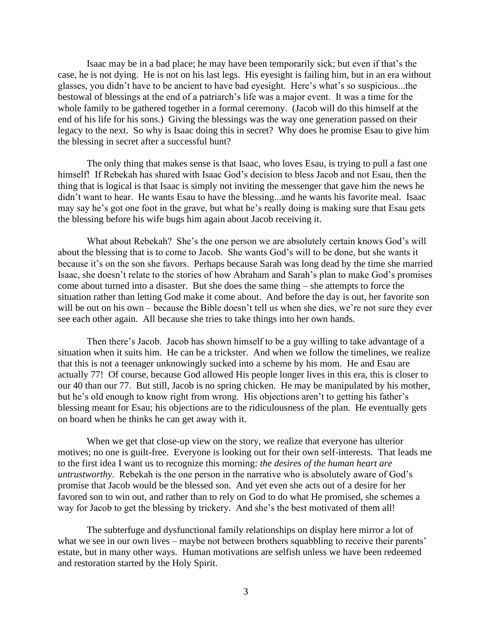Isaac may be in a bad place; he may have been temporarily sick; but even if that's the case, he is not dying. He is not on his last legs. His eyesight is failing him, but in an era without glasses, you didn't have to be ancient to have bad eyesight. Here's what's so suspicious...the bestowal of blessings at the end of a patriarch's life was a major event. It was a time for the whole family to be gathered together in a formal ceremony. (Jacob will do this himself at the end of his life for his sons.) Giving the blessings was the way one generation passed on their legacy to the next. So why is Isaac doing this in secret? Why does he promise Esau to give him the blessing in secret after a successful hunt?

The only thing that makes sense is that Isaac, who loves Esau, is trying to pull a fast one himself! If Rebekah has shared with Isaac God's decision to bless Jacob and not Esau, then the thing that is logical is that Isaac is simply not inviting the messenger that gave him the news he didn't want to hear. He wants Esau to have the blessing...and he wants his favorite meal. Isaac may say he's got one foot in the grave, but what he's really doing is making sure that Esau gets the blessing before his wife bugs him again about Jacob receiving it.

What about Rebekah? She's the one person we are absolutely certain knows God's will about the blessing that is to come to Jacob. She wants God's will to be done, but she wants it because it's on the son she favors. Perhaps because Sarah was long dead by the time she married Isaac, she doesn't relate to the stories of how Abraham and Sarah's plan to make God's promises come about turned into a disaster. But she does the same thing – she attempts to force the situation rather than letting God make it come about. And before the day is out, her favorite son will be out on his own – because the Bible doesn't tell us when she dies, we're not sure they ever see each other again. All because she tries to take things into her own hands.

Then there's Jacob. Jacob has shown himself to be a guy willing to take advantage of a situation when it suits him. He can be a trickster. And when we follow the timelines, we realize that this is not a teenager unknowingly sucked into a scheme by his mom. He and Esau are actually 77! Of course, because God allowed His people longer lives in this era, this is closer to our 40 than our 77. But still, Jacob is no spring chicken. He may be manipulated by his mother, but he's old enough to know right from wrong. His objections aren't to getting his father's blessing meant for Esau; his objections are to the ridiculousness of the plan. He eventually gets on board when he thinks he can get away with it.

When we get that close-up view on the story, we realize that everyone has ulterior motives; no one is guilt-free. Everyone is looking out for their own self-interests. That leads me to the first idea I want us to recognize this morning: *the desires of the human heart are untrustworthy*. Rebekah is the one person in the narrative who is absolutely aware of God's promise that Jacob would be the blessed son. And yet even she acts out of a desire for her favored son to win out, and rather than to rely on God to do what He promised, she schemes a way for Jacob to get the blessing by trickery. And she's the best motivated of them all!

The subterfuge and dysfunctional family relationships on display here mirror a lot of what we see in our own lives – maybe not between brothers squabbling to receive their parents' estate, but in many other ways. Human motivations are selfish unless we have been redeemed and restoration started by the Holy Spirit.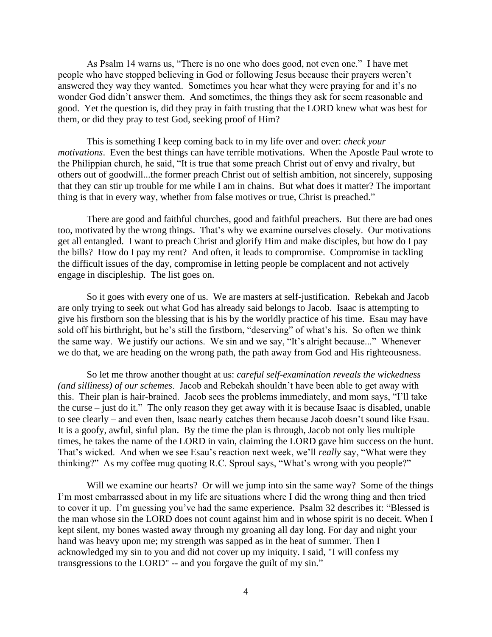As Psalm 14 warns us, "There is no one who does good, not even one." I have met people who have stopped believing in God or following Jesus because their prayers weren't answered they way they wanted. Sometimes you hear what they were praying for and it's no wonder God didn't answer them. And sometimes, the things they ask for seem reasonable and good. Yet the question is, did they pray in faith trusting that the LORD knew what was best for them, or did they pray to test God, seeking proof of Him?

This is something I keep coming back to in my life over and over: *check your motivations*. Even the best things can have terrible motivations. When the Apostle Paul wrote to the Philippian church, he said, "It is true that some preach Christ out of envy and rivalry, but others out of goodwill...the former preach Christ out of selfish ambition, not sincerely, supposing that they can stir up trouble for me while I am in chains. But what does it matter? The important thing is that in every way, whether from false motives or true, Christ is preached."

There are good and faithful churches, good and faithful preachers. But there are bad ones too, motivated by the wrong things. That's why we examine ourselves closely. Our motivations get all entangled. I want to preach Christ and glorify Him and make disciples, but how do I pay the bills? How do I pay my rent? And often, it leads to compromise. Compromise in tackling the difficult issues of the day, compromise in letting people be complacent and not actively engage in discipleship. The list goes on.

So it goes with every one of us. We are masters at self-justification. Rebekah and Jacob are only trying to seek out what God has already said belongs to Jacob. Isaac is attempting to give his firstborn son the blessing that is his by the worldly practice of his time. Esau may have sold off his birthright, but he's still the firstborn, "deserving" of what's his. So often we think the same way. We justify our actions. We sin and we say, "It's alright because..." Whenever we do that, we are heading on the wrong path, the path away from God and His righteousness.

So let me throw another thought at us: *careful self-examination reveals the wickedness (and silliness) of our schemes*. Jacob and Rebekah shouldn't have been able to get away with this. Their plan is hair-brained. Jacob sees the problems immediately, and mom says, "I'll take the curse – just do it." The only reason they get away with it is because Isaac is disabled, unable to see clearly – and even then, Isaac nearly catches them because Jacob doesn't sound like Esau. It is a goofy, awful, sinful plan. By the time the plan is through, Jacob not only lies multiple times, he takes the name of the LORD in vain, claiming the LORD gave him success on the hunt. That's wicked. And when we see Esau's reaction next week, we'll *really* say, "What were they thinking?" As my coffee mug quoting R.C. Sproul says, "What's wrong with you people?"

Will we examine our hearts? Or will we jump into sin the same way? Some of the things I'm most embarrassed about in my life are situations where I did the wrong thing and then tried to cover it up. I'm guessing you've had the same experience. Psalm 32 describes it: "Blessed is the man whose sin the LORD does not count against him and in whose spirit is no deceit. When I kept silent, my bones wasted away through my groaning all day long. For day and night your hand was heavy upon me; my strength was sapped as in the heat of summer. Then I acknowledged my sin to you and did not cover up my iniquity. I said, "I will confess my transgressions to the LORD" -- and you forgave the guilt of my sin."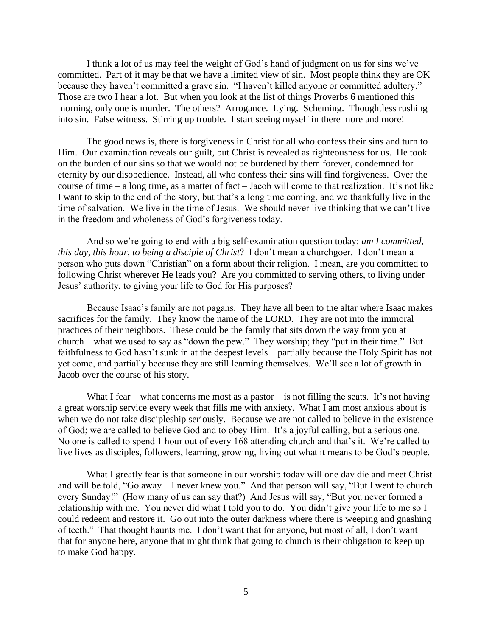I think a lot of us may feel the weight of God's hand of judgment on us for sins we've committed. Part of it may be that we have a limited view of sin. Most people think they are OK because they haven't committed a grave sin. "I haven't killed anyone or committed adultery." Those are two I hear a lot. But when you look at the list of things Proverbs 6 mentioned this morning, only one is murder. The others? Arrogance. Lying. Scheming. Thoughtless rushing into sin. False witness. Stirring up trouble. I start seeing myself in there more and more!

The good news is, there is forgiveness in Christ for all who confess their sins and turn to Him. Our examination reveals our guilt, but Christ is revealed as righteousness for us. He took on the burden of our sins so that we would not be burdened by them forever, condemned for eternity by our disobedience. Instead, all who confess their sins will find forgiveness. Over the course of time – a long time, as a matter of fact – Jacob will come to that realization. It's not like I want to skip to the end of the story, but that's a long time coming, and we thankfully live in the time of salvation. We live in the time of Jesus. We should never live thinking that we can't live in the freedom and wholeness of God's forgiveness today.

And so we're going to end with a big self-examination question today: *am I committed, this day, this hour, to being a disciple of Christ*? I don't mean a churchgoer. I don't mean a person who puts down "Christian" on a form about their religion. I mean, are you committed to following Christ wherever He leads you? Are you committed to serving others, to living under Jesus' authority, to giving your life to God for His purposes?

Because Isaac's family are not pagans. They have all been to the altar where Isaac makes sacrifices for the family. They know the name of the LORD. They are not into the immoral practices of their neighbors. These could be the family that sits down the way from you at church – what we used to say as "down the pew." They worship; they "put in their time." But faithfulness to God hasn't sunk in at the deepest levels – partially because the Holy Spirit has not yet come, and partially because they are still learning themselves. We'll see a lot of growth in Jacob over the course of his story.

What I fear – what concerns me most as a pastor – is not filling the seats. It's not having a great worship service every week that fills me with anxiety. What I am most anxious about is when we do not take discipleship seriously. Because we are not called to believe in the existence of God; we are called to believe God and to obey Him. It's a joyful calling, but a serious one. No one is called to spend 1 hour out of every 168 attending church and that's it. We're called to live lives as disciples, followers, learning, growing, living out what it means to be God's people.

What I greatly fear is that someone in our worship today will one day die and meet Christ and will be told, "Go away – I never knew you." And that person will say, "But I went to church every Sunday!" (How many of us can say that?) And Jesus will say, "But you never formed a relationship with me. You never did what I told you to do. You didn't give your life to me so I could redeem and restore it. Go out into the outer darkness where there is weeping and gnashing of teeth." That thought haunts me. I don't want that for anyone, but most of all, I don't want that for anyone here, anyone that might think that going to church is their obligation to keep up to make God happy.